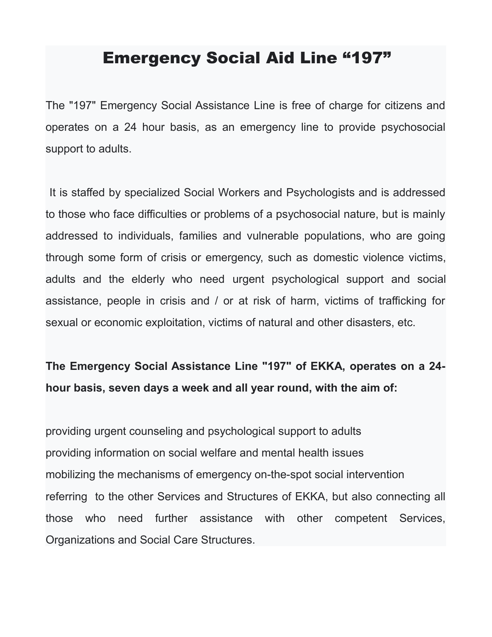## Emergency Social Aid Line "197"

The "197" Emergency Social Assistance Line is free of charge for citizens and operates on a 24 hour basis, as an emergency line to provide psychosocial support to adults.

It is staffed by specialized Social Workers and Psychologists and is addressed to those who face difficulties or problems of a psychosocial nature, but is mainly addressed to individuals, families and vulnerable populations, who are going through some form of crisis or emergency, such as domestic violence victims, adults and the elderly who need urgent psychological support and social assistance, people in crisis and / or at risk of harm, victims of trafficking for sexual or economic exploitation, victims of natural and other disasters, etc.

## **The Emergency Social Assistance Line "197" of EKKA, operates on a 24 hour basis, seven days a week and all year round, with the aim of:**

providing urgent counseling and psychological support to adults providing information on social welfare and mental health issues mobilizing the mechanisms of emergency on-the-spot social intervention referring to the other Services and Structures of EKKA, but also connecting all those who need further assistance with other competent Services, Organizations and Social Care Structures.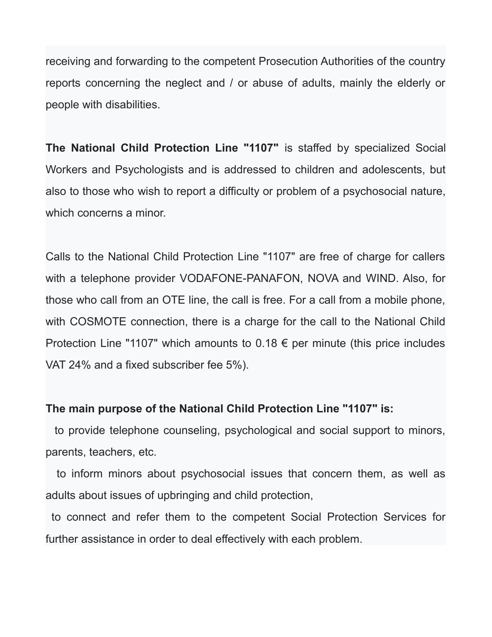receiving and forwarding to the competent Prosecution Authorities of the country reports concerning the neglect and / or abuse of adults, mainly the elderly or people with disabilities.

**The National Child Protection Line "1107"** is staffed by specialized Social Workers and Psychologists and is addressed to children and adolescents, but also to those who wish to report a difficulty or problem of a psychosocial nature, which concerns a minor.

Calls to the National Child Protection Line "1107" are free of charge for callers with a telephone provider VODAFONE-PANAFON, NOVA and WIND. Also, for those who call from an OTE line, the call is free. For a call from a mobile phone, with COSMOTE connection, there is a charge for the call to the National Child Protection Line "1107" which amounts to 0.18  $\epsilon$  per minute (this price includes VAT 24% and a fixed subscriber fee 5%).

## **The main purpose of the National Child Protection Line "1107" is:**

 to provide telephone counseling, psychological and social support to minors, parents, teachers, etc.

 to inform minors about psychosocial issues that concern them, as well as adults about issues of upbringing and child protection,

to connect and refer them to the competent Social Protection Services for further assistance in order to deal effectively with each problem.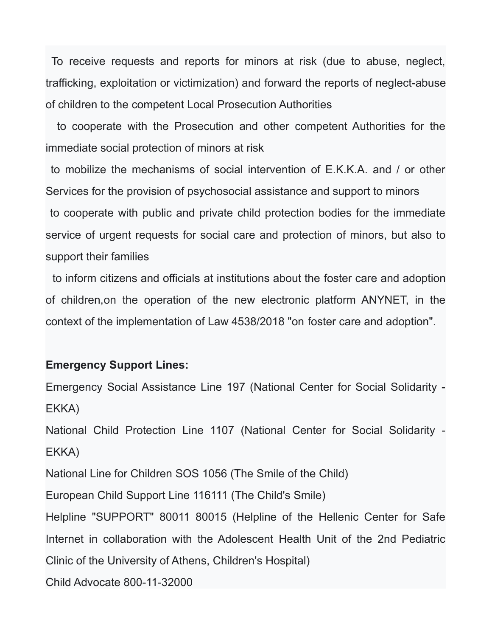To receive requests and reports for minors at risk (due to abuse, neglect, trafficking, exploitation or victimization) and forward the reports of neglect-abuse of children to the competent Local Prosecution Authorities

 to cooperate with the Prosecution and other competent Authorities for the immediate social protection of minors at risk

to mobilize the mechanisms of social intervention of Ε.Κ.Κ.Α. and / or other Services for the provision of psychosocial assistance and support to minors to cooperate with public and private child protection bodies for the immediate service of urgent requests for social care and protection of minors, but also to support their families

 to inform citizens and officials at institutions about the foster care and adoption of children,on the operation of the new electronic platform ANYNET, in the context of the implementation of Law 4538/2018 "on foster care and adoption".

## **Emergency Support Lines:**

Emergency Social Assistance Line 197 (National Center for Social Solidarity - EKKA) National Child Protection Line 1107 (National Center for Social Solidarity - EKKA) National Line for Children SOS 1056 (The Smile of the Child) European Child Support Line 116111 (The Child's Smile) Helpline "SUPPORT" 80011 80015 (Helpline of the Hellenic Center for Safe Internet in collaboration with the Adolescent Health Unit of the 2nd Pediatric Clinic of the University of Athens, Children's Hospital) Child Advocate 800-11-32000